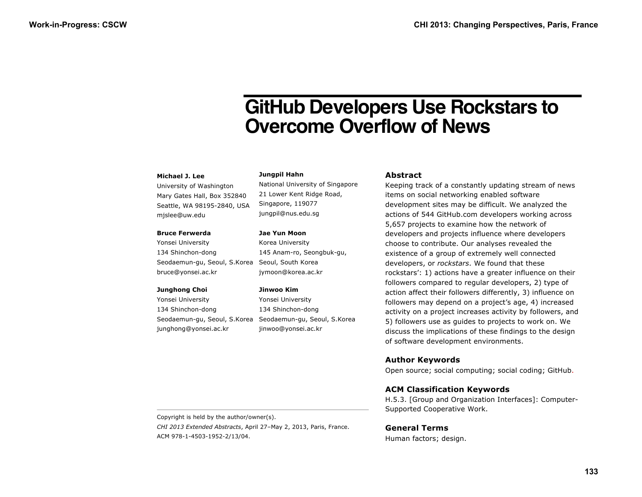# **GitHub Developers Use Rockstars to Overcome Overflow of News**

### **Michael J. Lee**

University of Washington Mary Gates Hall, Box 352840 Seattle, WA 98195-2840, USA mjslee@uw.edu

#### **Bruce Ferwerda**

Yonsei University 134 Shinchon-dong Seodaemun-gu, Seoul, S.Korea Seoul, South Korea bruce@yonsei.ac.kr

### **Junghong Choi**

Yonsei University 134 Shinchon-dong junghong@yonsei.ac.kr jungpil@nus.edu.sg **Jae Yun Moon**

National University of Singapore 21 Lower Kent Ridge Road, Singapore, 119077

**Jungpil Hahn**

Korea University 145 Anam-ro, Seongbuk-gu, jymoon@korea.ac.kr

### **Jinwoo Kim**

Seodaemun-gu, Seoul, S.Korea Seodaemun-gu, Seoul, S.Korea Yonsei University 134 Shinchon-dong jinwoo@yonsei.ac.kr

## **Abstract**

Keeping track of a constantly updating stream of news items on social networking enabled software development sites may be difficult. We analyzed the actions of 544 GitHub.com developers working across 5,657 projects to examine how the network of developers and projects influence where developers choose to contribute. Our analyses revealed the existence of a group of extremely well connected developers, or *rockstars*. We found that these rockstars': 1) actions have a greater influence on their followers compared to regular developers, 2) type of action affect their followers differently, 3) influence on followers may depend on a project's age, 4) increased activity on a project increases activity by followers, and 5) followers use as guides to projects to work on. We discuss the implications of these findings to the design of software development environments.

# **Author Keywords**

Open source; social computing; social coding; GitHub.

# **ACM Classification Keywords**

H.5.3. [Group and Organization Interfaces]: Computer-Supported Cooperative Work.

Copyright is held by the author/owner(s).

*CHI 2013 Extended Abstracts*, April 27–May 2, 2013, Paris, France. ACM 978-1-4503-1952-2/13/04.

# **General Terms**

Human factors; design.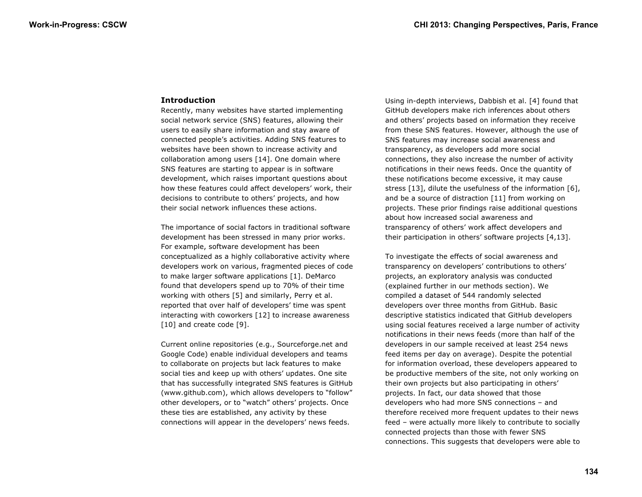## **Introduction**

Recently, many websites have started implementing social network service (SNS) features, allowing their users to easily share information and stay aware of connected people's activities. Adding SNS features to websites have been shown to increase activity and collaboration among users [14]. One domain where SNS features are starting to appear is in software development, which raises important questions about how these features could affect developers' work, their decisions to contribute to others' projects, and how their social network influences these actions.

The importance of social factors in traditional software development has been stressed in many prior works. For example, software development has been conceptualized as a highly collaborative activity where developers work on various, fragmented pieces of code to make larger software applications [1]. DeMarco found that developers spend up to 70% of their time working with others [5] and similarly, Perry et al. reported that over half of developers' time was spent interacting with coworkers [12] to increase awareness [10] and create code [9].

Current online repositories (e.g., Sourceforge.net and Google Code) enable individual developers and teams to collaborate on projects but lack features to make social ties and keep up with others' updates. One site that has successfully integrated SNS features is GitHub (www.github.com), which allows developers to "follow" other developers, or to "watch" others' projects. Once these ties are established, any activity by these connections will appear in the developers' news feeds.

Using in-depth interviews, Dabbish et al. [4] found that GitHub developers make rich inferences about others and others' projects based on information they receive from these SNS features. However, although the use of SNS features may increase social awareness and transparency, as developers add more social connections, they also increase the number of activity notifications in their news feeds. Once the quantity of these notifications become excessive, it may cause stress [13], dilute the usefulness of the information [6], and be a source of distraction [11] from working on projects. These prior findings raise additional questions about how increased social awareness and transparency of others' work affect developers and their participation in others' software projects [4,13].

To investigate the effects of social awareness and transparency on developers' contributions to others' projects, an exploratory analysis was conducted (explained further in our methods section). We compiled a dataset of 544 randomly selected developers over three months from GitHub. Basic descriptive statistics indicated that GitHub developers using social features received a large number of activity notifications in their news feeds (more than half of the developers in our sample received at least 254 news feed items per day on average). Despite the potential for information overload, these developers appeared to be productive members of the site, not only working on their own projects but also participating in others' projects. In fact, our data showed that those developers who had more SNS connections – and therefore received more frequent updates to their news feed – were actually more likely to contribute to socially connected projects than those with fewer SNS connections. This suggests that developers were able to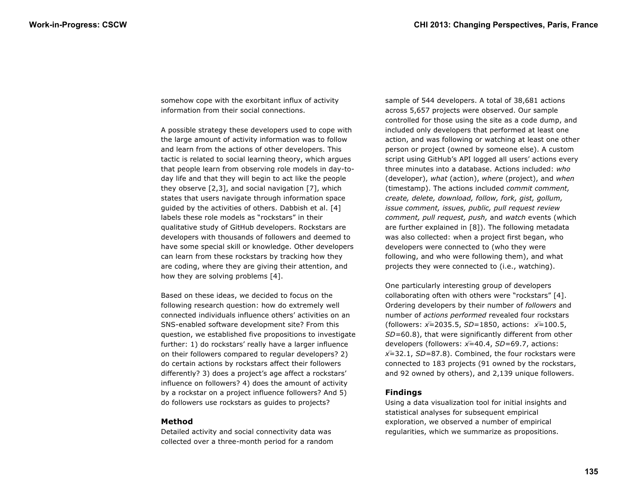somehow cope with the exorbitant influx of activity information from their social connections.

A possible strategy these developers used to cope with the large amount of activity information was to follow and learn from the actions of other developers. This tactic is related to social learning theory, which argues that people learn from observing role models in day-today life and that they will begin to act like the people they observe [2,3], and social navigation [7], which states that users navigate through information space guided by the activities of others. Dabbish et al. [4] labels these role models as "rockstars" in their qualitative study of GitHub developers. Rockstars are developers with thousands of followers and deemed to have some special skill or knowledge. Other developers can learn from these rockstars by tracking how they are coding, where they are giving their attention, and how they are solving problems [4].

Based on these ideas, we decided to focus on the following research question: how do extremely well connected individuals influence others' activities on an SNS-enabled software development site? From this question, we established five propositions to investigate further: 1) do rockstars' really have a larger influence on their followers compared to regular developers? 2) do certain actions by rockstars affect their followers differently? 3) does a project's age affect a rockstars' influence on followers? 4) does the amount of activity by a rockstar on a project influence followers? And 5) do followers use rockstars as guides to projects?

## **Method**

Detailed activity and social connectivity data was collected over a three-month period for a random sample of 544 developers. A total of 38,681 actions across 5,657 projects were observed. Our sample controlled for those using the site as a code dump, and included only developers that performed at least one action, and was following or watching at least one other person or project (owned by someone else). A custom script using GitHub's API logged all users' actions every three minutes into a database. Actions included: *who* (developer), *what* (action), *where* (project), and *when* (timestamp). The actions included *commit comment, create, delete, download, follow, fork, gist, gollum, issue comment, issues, public, pull request review comment, pull request, push,* and *watch* events (which are further explained in [8]). The following metadata was also collected: when a project first began, who developers were connected to (who they were following, and who were following them), and what projects they were connected to (i.e., watching).

One particularly interesting group of developers collaborating often with others were "rockstars" [4]. Ordering developers by their number of *followers* and number of *actions performed* revealed four rockstars (followers: *x̅=*2035.5, *SD*=1850, actions: *x̅=*100.5, *SD=*60.8), that were significantly different from other developers (followers: *x̅=*40.4, *SD*=69.7, actions: *x̅=*32.1, *SD=*87.8). Combined, the four rockstars were connected to 183 projects (91 owned by the rockstars, and 92 owned by others), and 2,139 unique followers.

## **Findings**

Using a data visualization tool for initial insights and statistical analyses for subsequent empirical exploration, we observed a number of empirical regularities, which we summarize as propositions.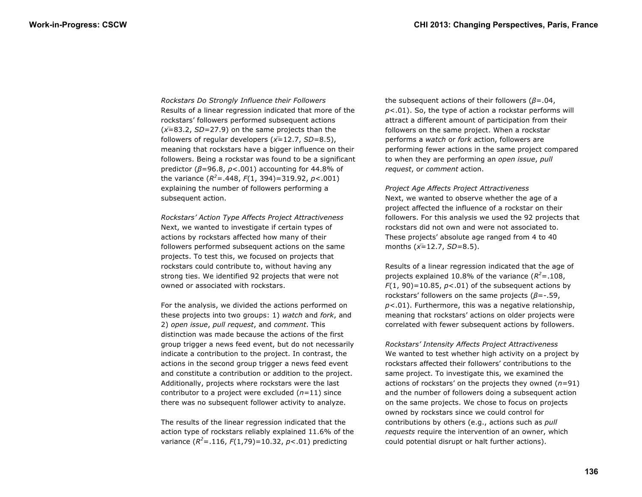*Rockstars Do Strongly Influence their Followers* Results of a linear regression indicated that more of the rockstars' followers performed subsequent actions (*x̅*=83.2, *SD*=27.9) on the same projects than the followers of regular developers (*x̅*=12.7, *SD*=8.5), meaning that rockstars have a bigger influence on their followers. Being a rockstar was found to be a significant predictor (*β*=96.8, *p*<.001) accounting for 44.8% of the variance (*R<sup>2</sup>* =.448, *F*(1, 394)=319.92, *p*<.001) explaining the number of followers performing a subsequent action.

*Rockstars' Action Type Affects Project Attractiveness* Next, we wanted to investigate if certain types of actions by rockstars affected how many of their followers performed subsequent actions on the same projects. To test this, we focused on projects that rockstars could contribute to, without having any strong ties. We identified 92 projects that were not owned or associated with rockstars.

For the analysis, we divided the actions performed on these projects into two groups: 1) *watch* and *fork*, and 2) *open issue*, *pull request*, and *comment*. This distinction was made because the actions of the first group trigger a news feed event, but do not necessarily indicate a contribution to the project. In contrast, the actions in the second group trigger a news feed event and constitute a contribution or addition to the project. Additionally, projects where rockstars were the last contributor to a project were excluded (*n*=11) since there was no subsequent follower activity to analyze.

The results of the linear regression indicated that the action type of rockstars reliably explained 11.6% of the variance (*R<sup>2</sup>* =.116, *F*(1,79)=10.32, *p*<.01) predicting

the subsequent actions of their followers (*β*=.04, *p*<.01). So, the type of action a rockstar performs will attract a different amount of participation from their followers on the same project. When a rockstar performs a *watch* or *fork* action, followers are performing fewer actions in the same project compared to when they are performing an *open issue*, *pull request*, or *comment* action.

*Project Age Affects Project Attractiveness* Next, we wanted to observe whether the age of a project affected the influence of a rockstar on their followers. For this analysis we used the 92 projects that rockstars did not own and were not associated to. These projects' absolute age ranged from 4 to 40 months (*x̅*=12.7, *SD*=8.5).

Results of a linear regression indicated that the age of projects explained 10.8% of the variance  $(R^2 = .108, )$  $F(1, 90) = 10.85$ ,  $p < .01$ ) of the subsequent actions by rockstars' followers on the same projects (*β*=-.59, *p*<.01). Furthermore, this was a negative relationship, meaning that rockstars' actions on older projects were correlated with fewer subsequent actions by followers.

*Rockstars' Intensity Affects Project Attractiveness* We wanted to test whether high activity on a project by rockstars affected their followers' contributions to the same project. To investigate this, we examined the actions of rockstars' on the projects they owned (*n*=91) and the number of followers doing a subsequent action on the same projects. We chose to focus on projects owned by rockstars since we could control for contributions by others (e.g., actions such as *pull requests* require the intervention of an owner, which could potential disrupt or halt further actions).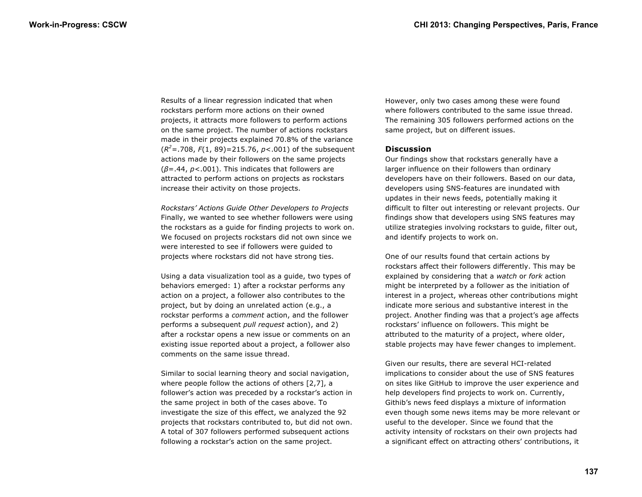Results of a linear regression indicated that when rockstars perform more actions on their owned projects, it attracts more followers to perform actions on the same project. The number of actions rockstars made in their projects explained 70.8% of the variance (*R<sup>2</sup>* =.708, *F*(1, 89)=215.76, *p*<.001) of the subsequent actions made by their followers on the same projects (*β*=.44, *p*<.001). This indicates that followers are attracted to perform actions on projects as rockstars increase their activity on those projects.

*Rockstars' Actions Guide Other Developers to Projects* Finally, we wanted to see whether followers were using the rockstars as a guide for finding projects to work on. We focused on projects rockstars did not own since we were interested to see if followers were guided to projects where rockstars did not have strong ties.

Using a data visualization tool as a guide, two types of behaviors emerged: 1) after a rockstar performs any action on a project, a follower also contributes to the project, but by doing an unrelated action (e.g., a rockstar performs a *comment* action, and the follower performs a subsequent *pull request* action), and 2) after a rockstar opens a new issue or comments on an existing issue reported about a project, a follower also comments on the same issue thread.

Similar to social learning theory and social navigation, where people follow the actions of others [2,7], a follower's action was preceded by a rockstar's action in the same project in both of the cases above. To investigate the size of this effect, we analyzed the 92 projects that rockstars contributed to, but did not own. A total of 307 followers performed subsequent actions following a rockstar's action on the same project.

However, only two cases among these were found where followers contributed to the same issue thread. The remaining 305 followers performed actions on the same project, but on different issues.

## **Discussion**

Our findings show that rockstars generally have a larger influence on their followers than ordinary developers have on their followers. Based on our data, developers using SNS-features are inundated with updates in their news feeds, potentially making it difficult to filter out interesting or relevant projects. Our findings show that developers using SNS features may utilize strategies involving rockstars to guide, filter out, and identify projects to work on.

One of our results found that certain actions by rockstars affect their followers differently. This may be explained by considering that a *watch* or *fork* action might be interpreted by a follower as the initiation of interest in a project, whereas other contributions might indicate more serious and substantive interest in the project. Another finding was that a project's age affects rockstars' influence on followers. This might be attributed to the maturity of a project, where older, stable projects may have fewer changes to implement.

Given our results, there are several HCI-related implications to consider about the use of SNS features on sites like GitHub to improve the user experience and help developers find projects to work on. Currently, Githib's news feed displays a mixture of information even though some news items may be more relevant or useful to the developer. Since we found that the activity intensity of rockstars on their own projects had a significant effect on attracting others' contributions, it